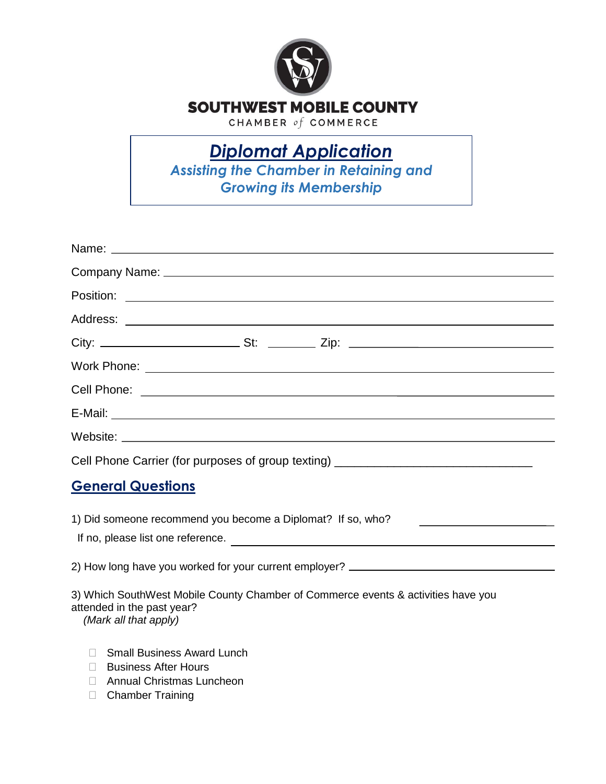

## SOUTHWEST MOBILE COUNTY

CHAMBER of COMMERCE

## *Diplomat Application*

*Assisting the Chamber in Retaining and Growing its Membership*

|                                                                            | Cell Phone Carrier (for purposes of group texting) _____________________________  |
|----------------------------------------------------------------------------|-----------------------------------------------------------------------------------|
| <b>General Questions</b>                                                   |                                                                                   |
| 1) Did someone recommend you become a Diplomat? If so, who?                |                                                                                   |
|                                                                            | If no, please list one reference.                                                 |
|                                                                            | 2) How long have you worked for your current employer? __________________________ |
| attended in the past year?<br>(Mark all that apply)                        | 3) Which SouthWest Mobile County Chamber of Commerce events & activities have you |
| <b>Small Business Award Lunch</b><br>$\Box$<br><b>Business After Hours</b> |                                                                                   |

- Annual Christmas Luncheon
- Chamber Training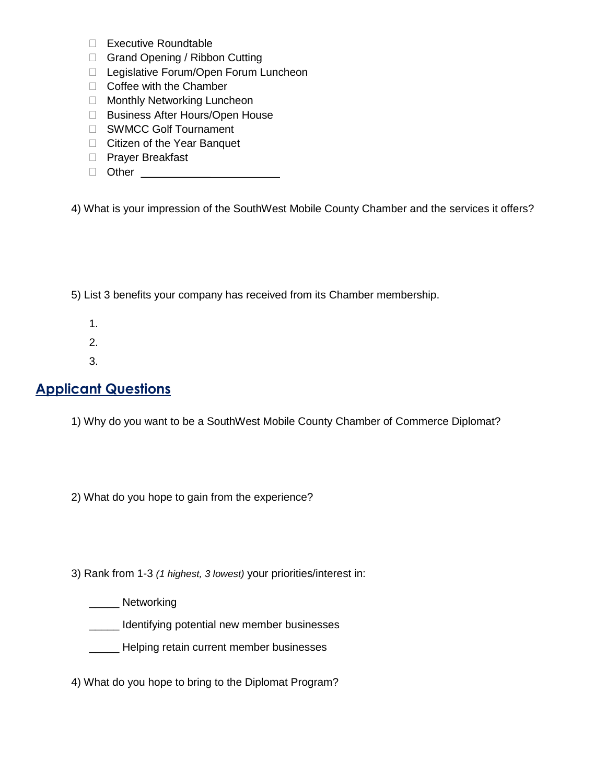- Executive Roundtable
- □ Grand Opening / Ribbon Cutting
- □ Legislative Forum/Open Forum Luncheon
- $\Box$  Coffee with the Chamber
- □ Monthly Networking Luncheon
- □ Business After Hours/Open House
- SWMCC Golf Tournament
- □ Citizen of the Year Banquet
- □ Prayer Breakfast
- Other

4) What is your impression of the SouthWest Mobile County Chamber and the services it offers?

5) List 3 benefits your company has received from its Chamber membership.

- 1.
- 2.
- 3.

## **Applicant Questions**

1) Why do you want to be a SouthWest Mobile County Chamber of Commerce Diplomat?

2) What do you hope to gain from the experience?

3) Rank from 1-3 *(1 highest, 3 lowest)* your priorities/interest in:

\_\_\_\_\_ Networking

\_\_\_\_\_ Identifying potential new member businesses

**\_\_\_\_\_** Helping retain current member businesses

4) What do you hope to bring to the Diplomat Program?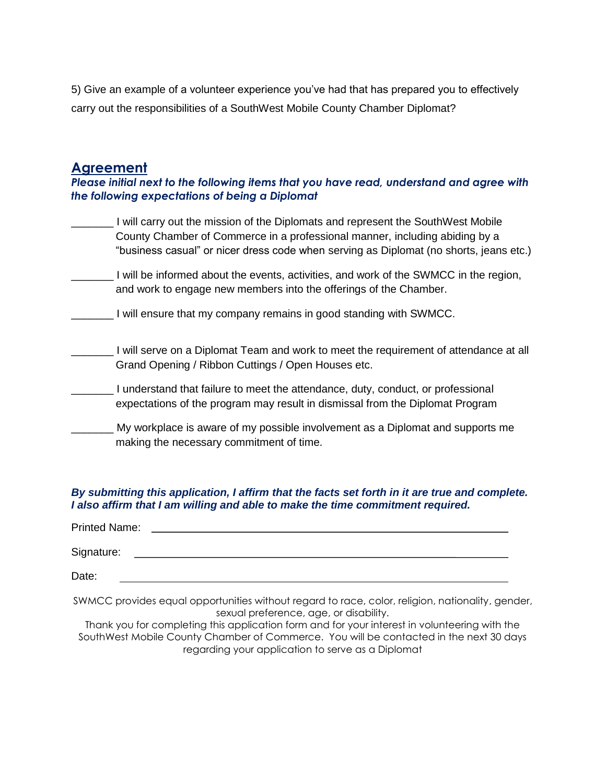5) Give an example of a volunteer experience you've had that has prepared you to effectively carry out the responsibilities of a SouthWest Mobile County Chamber Diplomat?

## **Agreement**

*Please initial next to the following items that you have read, understand and agree with the following expectations of being a Diplomat*

| I will carry out the mission of the Diplomats and represent the SouthWest Mobile<br>County Chamber of Commerce in a professional manner, including abiding by a<br>"business casual" or nicer dress code when serving as Diplomat (no shorts, jeans etc.) |
|-----------------------------------------------------------------------------------------------------------------------------------------------------------------------------------------------------------------------------------------------------------|
| I will be informed about the events, activities, and work of the SWMCC in the region,<br>and work to engage new members into the offerings of the Chamber.                                                                                                |
| I will ensure that my company remains in good standing with SWMCC.                                                                                                                                                                                        |
| I will serve on a Diplomat Team and work to meet the requirement of attendance at all<br>Grand Opening / Ribbon Cuttings / Open Houses etc.                                                                                                               |
| I understand that failure to meet the attendance, duty, conduct, or professional<br>expectations of the program may result in dismissal from the Diplomat Program                                                                                         |
| My workplace is aware of my possible involvement as a Diplomat and supports me<br>making the necessary commitment of time.                                                                                                                                |

*By submitting this application, I affirm that the facts set forth in it are true and complete. I also affirm that I am willing and able to make the time commitment required.*

| <b>Printed Name:</b> |  |  |
|----------------------|--|--|
| Signature:           |  |  |
| Date:                |  |  |

SWMCC provides equal opportunities without regard to race, color, religion, nationality, gender, sexual preference, age, or disability.

Thank you for completing this application form and for your interest in volunteering with the SouthWest Mobile County Chamber of Commerce. You will be contacted in the next 30 days regarding your application to serve as a Diplomat